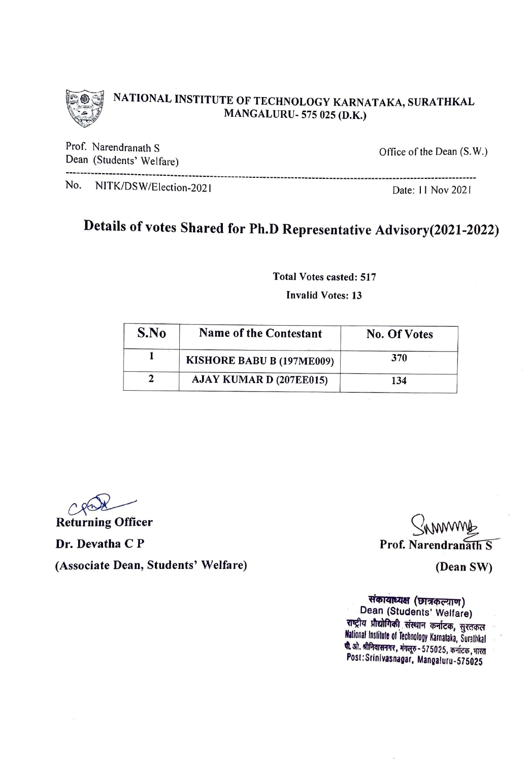

## NATIONAL INSTITUTE OF TECHNOLOGY KARNATAKA, SURATHKAL MANGALURU- 575 025 (D.K.)

Prof. Narendranath S Dean (Students' Welfare)

Office of the Dean (S. W.)

--------------------------------------------------------------------------------------------------------------------No. NITK/DSW/Election-2021 Date: 11 Nov 2021

## Details of votes Shared for Ph.D Representative Advisory(2021-2022)

Total Votes casted: 517

Invalid Votes: 13

| S.No | Name of the Contestant    | <b>No. Of Votes</b> |
|------|---------------------------|---------------------|
|      | KISHORE BABU B (197ME009) | 370                 |
|      | AJAY KUMAR D (207EE015)   | 134                 |

**Returning Officer** Dr. Devatha C P (Associate Dean, Students' Welfare) (Dean SW)

<u>In marrie</u> Prof. Narendranath S

**संकायाध्यक्ष (छात्रकल्याण)** Dean (Students' Welfare) राष्ट्रीय प्रौद्योगिकी संस्थान कर्नाटक, सुरतकल National Institute of Technology Karnataka, Surathkal **पी.** ओ. श्रीनिवासनगर, मंगलूरु - 575025, कर्नाटक, भारत Post: Srinivasnagar, Mangaluru-575025